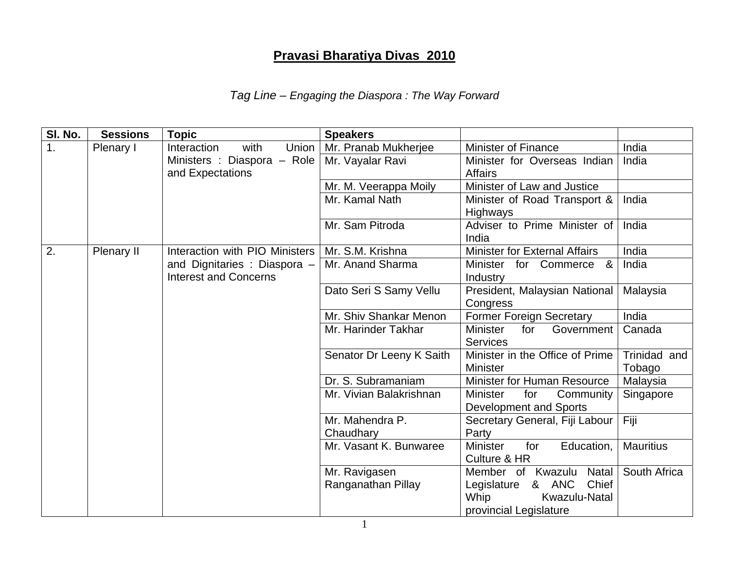## **Pravasi Bharatiya Divas 2010**

## *Tag Line – Engaging the Diaspora : The Way Forward*

| SI. No. | <b>Sessions</b> | <b>Topic</b>                                                   | <b>Speakers</b>                     |                                                                                                                |                        |
|---------|-----------------|----------------------------------------------------------------|-------------------------------------|----------------------------------------------------------------------------------------------------------------|------------------------|
| 1.      | Plenary I       | Interaction<br>with<br>Union                                   | Mr. Pranab Mukherjee                | <b>Minister of Finance</b>                                                                                     | India                  |
|         |                 | Ministers : Diaspora - Role<br>and Expectations                | Mr. Vayalar Ravi                    | Minister for Overseas Indian<br><b>Affairs</b>                                                                 | India                  |
|         |                 |                                                                | Mr. M. Veerappa Moily               | Minister of Law and Justice                                                                                    |                        |
|         |                 |                                                                | Mr. Kamal Nath                      | Minister of Road Transport &<br><b>Highways</b>                                                                | India                  |
|         |                 |                                                                | Mr. Sam Pitroda                     | Adviser to Prime Minister of<br>India                                                                          | India                  |
| 2.      | Plenary II      | Interaction with PIO Ministers                                 | Mr. S.M. Krishna                    | <b>Minister for External Affairs</b>                                                                           | India                  |
|         |                 | and Dignitaries : Diaspora $-$<br><b>Interest and Concerns</b> | Mr. Anand Sharma                    | Minister for Commerce<br>&<br>Industry                                                                         | India                  |
|         |                 |                                                                | Dato Seri S Samy Vellu              | President, Malaysian National<br>Congress                                                                      | Malaysia               |
|         |                 |                                                                | Mr. Shiv Shankar Menon              | <b>Former Foreign Secretary</b>                                                                                | India                  |
|         |                 |                                                                | Mr. Harinder Takhar                 | <b>Minister</b><br>for<br>Government<br><b>Services</b>                                                        | Canada                 |
|         |                 |                                                                | Senator Dr Leeny K Saith            | Minister in the Office of Prime<br><b>Minister</b>                                                             | Trinidad and<br>Tobago |
|         |                 |                                                                | Dr. S. Subramaniam                  | Minister for Human Resource                                                                                    | Malaysia               |
|         |                 |                                                                | Mr. Vivian Balakrishnan             | <b>Minister</b><br>for<br>Community<br>Development and Sports                                                  | Singapore              |
|         |                 |                                                                | Mr. Mahendra P.<br>Chaudhary        | Secretary General, Fiji Labour<br>Party                                                                        | Fiji                   |
|         |                 |                                                                | Mr. Vasant K. Bunwaree              | <b>Minister</b><br>for<br>Education,<br>Culture & HR                                                           | <b>Mauritius</b>       |
|         |                 |                                                                | Mr. Ravigasen<br>Ranganathan Pillay | Member of Kwazulu<br>Natal<br>& ANC<br>Legislature<br>Chief<br>Whip<br>Kwazulu-Natal<br>provincial Legislature | South Africa           |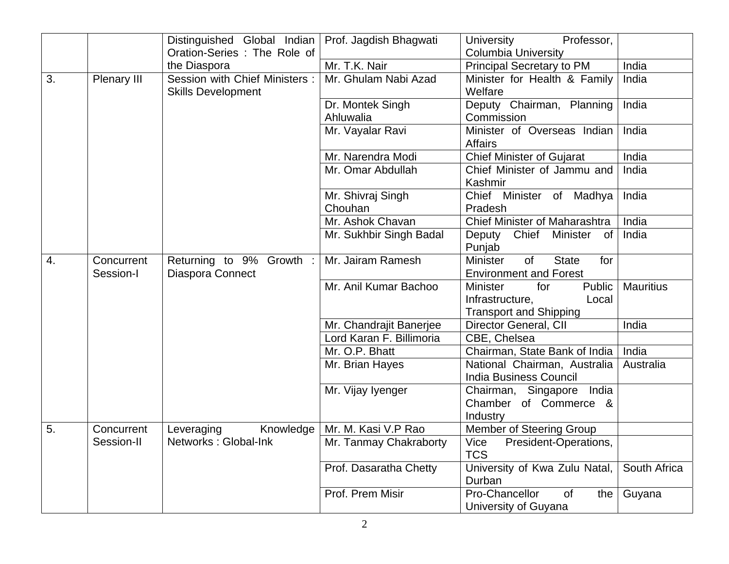|    |             | Distinguished Global Indian    | Prof. Jagdish Bhagwati   | <b>University</b><br>Professor,                     |                  |
|----|-------------|--------------------------------|--------------------------|-----------------------------------------------------|------------------|
|    |             | Oration-Series: The Role of    |                          | <b>Columbia University</b>                          |                  |
|    |             | the Diaspora                   | Mr. T.K. Nair            | Principal Secretary to PM                           | India            |
| 3. | Plenary III | Session with Chief Ministers : | Mr. Ghulam Nabi Azad     | Minister for Health & Family                        | India            |
|    |             | <b>Skills Development</b>      |                          | Welfare                                             |                  |
|    |             |                                | Dr. Montek Singh         | Deputy Chairman, Planning                           | India            |
|    |             |                                | Ahluwalia                | Commission                                          |                  |
|    |             |                                | Mr. Vayalar Ravi         | Minister of Overseas Indian                         | India            |
|    |             |                                |                          | <b>Affairs</b>                                      |                  |
|    |             |                                | Mr. Narendra Modi        | <b>Chief Minister of Gujarat</b>                    | India            |
|    |             |                                | Mr. Omar Abdullah        | Chief Minister of Jammu and                         | India            |
|    |             |                                |                          | Kashmir                                             |                  |
|    |             |                                | Mr. Shivraj Singh        | Chief Minister of Madhya                            | India            |
|    |             |                                | Chouhan                  | Pradesh                                             |                  |
|    |             |                                | Mr. Ashok Chavan         | Chief Minister of Maharashtra                       | India            |
|    |             |                                | Mr. Sukhbir Singh Badal  | Deputy Chief Minister<br>of                         | India            |
|    |             |                                |                          | Punjab                                              |                  |
| 4. | Concurrent  | Returning to 9% Growth :       | Mr. Jairam Ramesh        | <b>Minister</b><br><b>State</b><br><b>of</b><br>for |                  |
|    | Session-I   | Diaspora Connect               |                          | <b>Environment and Forest</b>                       |                  |
|    |             |                                | Mr. Anil Kumar Bachoo    | <b>Minister</b><br>for<br>Public                    | <b>Mauritius</b> |
|    |             |                                |                          | Infrastructure,<br>Local                            |                  |
|    |             |                                |                          | <b>Transport and Shipping</b>                       |                  |
|    |             |                                | Mr. Chandrajit Banerjee  | Director General, CII                               | India            |
|    |             |                                | Lord Karan F. Billimoria | CBE, Chelsea                                        |                  |
|    |             |                                | Mr. O.P. Bhatt           | Chairman, State Bank of India                       | India            |
|    |             |                                | Mr. Brian Hayes          | National Chairman, Australia                        | Australia        |
|    |             |                                |                          | <b>India Business Council</b>                       |                  |
|    |             |                                | Mr. Vijay lyenger        | Chairman, Singapore India                           |                  |
|    |             |                                |                          | Chamber of Commerce &<br>Industry                   |                  |
| 5. | Concurrent  | Knowledge<br>Leveraging        | Mr. M. Kasi V.P Rao      | Member of Steering Group                            |                  |
|    | Session-II  | Networks: Global-Ink           | Mr. Tanmay Chakraborty   | Vice<br>President-Operations,                       |                  |
|    |             |                                |                          | <b>TCS</b>                                          |                  |
|    |             |                                | Prof. Dasaratha Chetty   | University of Kwa Zulu Natal,                       | South Africa     |
|    |             |                                |                          | Durban                                              |                  |
|    |             |                                | Prof. Prem Misir         | Pro-Chancellor<br>of<br>the                         | Guyana           |
|    |             |                                |                          | University of Guyana                                |                  |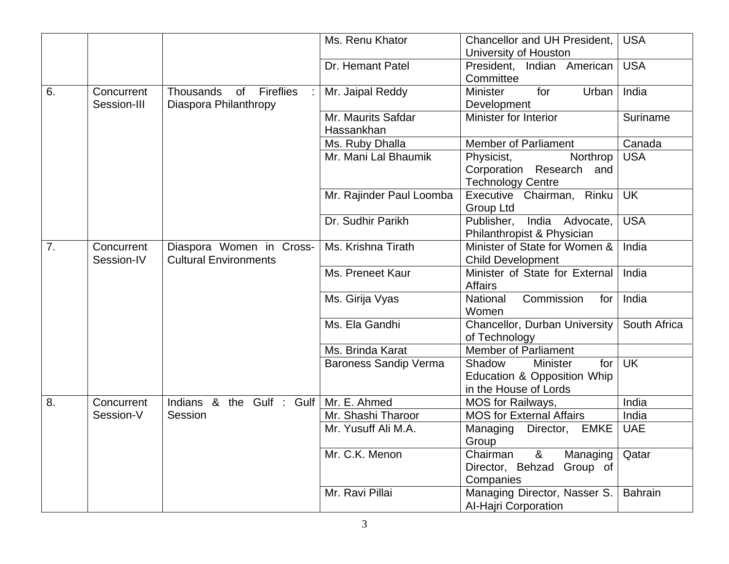|    |                           |                                                           | Ms. Renu Khator                  | Chancellor and UH President,<br>University of Houston                                      | <b>USA</b>               |
|----|---------------------------|-----------------------------------------------------------|----------------------------------|--------------------------------------------------------------------------------------------|--------------------------|
|    |                           |                                                           | Dr. Hemant Patel                 | President, Indian American<br>Committee                                                    | <b>USA</b>               |
| 6. | Concurrent<br>Session-III | <b>Thousands</b><br>of Fireflies<br>Diaspora Philanthropy | Mr. Jaipal Reddy                 | <b>Minister</b><br>Urban<br>for<br>Development                                             | India                    |
|    |                           |                                                           | Mr. Maurits Safdar<br>Hassankhan | Minister for Interior                                                                      | Suriname                 |
|    |                           |                                                           | Ms. Ruby Dhalla                  | <b>Member of Parliament</b>                                                                | Canada                   |
|    |                           |                                                           | Mr. Mani Lal Bhaumik             | Physicist,<br>Northrop<br>Corporation Research and<br><b>Technology Centre</b>             | <b>USA</b>               |
|    |                           |                                                           | Mr. Rajinder Paul Loomba         | Executive Chairman, Rinku<br>Group Ltd                                                     | <b>UK</b>                |
|    |                           |                                                           | Dr. Sudhir Parikh                | Publisher,<br>India Advocate,<br>Philanthropist & Physician                                | <b>USA</b>               |
| 7. | Concurrent<br>Session-IV  | Diaspora Women in Cross-<br><b>Cultural Environments</b>  | Ms. Krishna Tirath               | Minister of State for Women &<br><b>Child Development</b>                                  | India                    |
|    |                           |                                                           | Ms. Preneet Kaur                 | Minister of State for External<br><b>Affairs</b>                                           | India                    |
|    |                           |                                                           | Ms. Girija Vyas                  | National<br>Commission<br>for<br>Women                                                     | India                    |
|    |                           |                                                           | Ms. Ela Gandhi                   | Chancellor, Durban University<br>of Technology                                             | South Africa             |
|    |                           |                                                           | Ms. Brinda Karat                 | <b>Member of Parliament</b>                                                                |                          |
|    |                           |                                                           | <b>Baroness Sandip Verma</b>     | <b>Minister</b><br>for<br>Shadow<br>Education & Opposition Whip<br>in the House of Lords   | $\overline{\mathsf{UK}}$ |
| 8. | Concurrent                | Indians & the Gulf : Gulf                                 | Mr. E. Ahmed                     | MOS for Railways,                                                                          | India                    |
|    | Session-V                 | Session                                                   | Mr. Shashi Tharoor               | <b>MOS for External Affairs</b>                                                            | India                    |
|    |                           |                                                           | Mr. Yusuff Ali M.A.              | Managing<br>Director, EMKE<br>Group                                                        | <b>UAE</b>               |
|    |                           |                                                           | Mr. C.K. Menon                   | $\boldsymbol{\alpha}$<br>Chairman<br>Managing<br>Director, Behzad<br>Group of<br>Companies | Qatar                    |
|    |                           |                                                           | Mr. Ravi Pillai                  | Managing Director, Nasser S.<br><b>Al-Hajri Corporation</b>                                | <b>Bahrain</b>           |